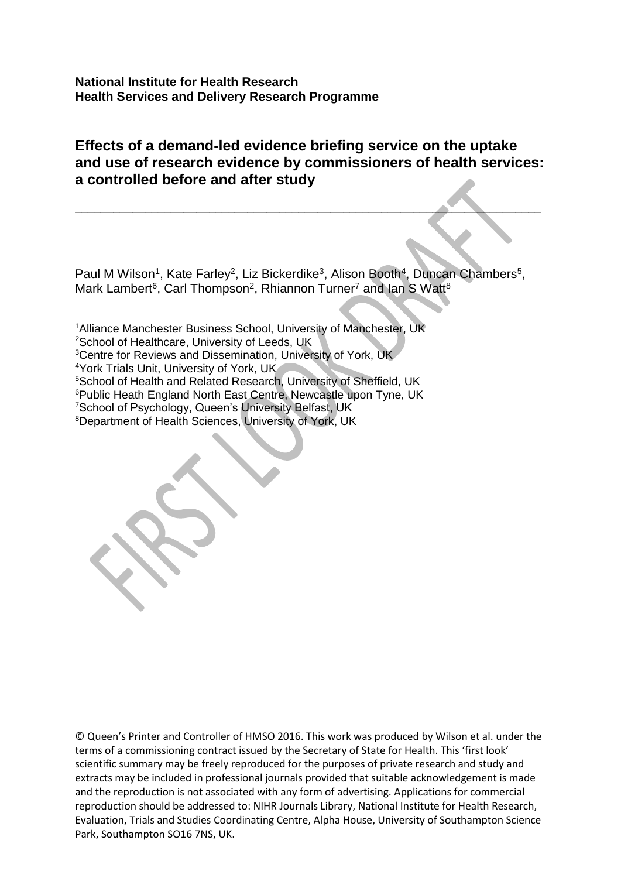**National Institute for Health Research Health Services and Delivery Research Programme**

# **Effects of a demand-led evidence briefing service on the uptake and use of research evidence by commissioners of health services: a controlled before and after study**

**\_\_\_\_\_\_\_\_\_\_\_\_\_\_\_\_\_\_\_\_\_\_\_\_\_\_\_\_\_\_\_\_\_\_\_\_\_\_\_\_\_\_\_\_\_\_\_\_\_\_\_\_\_\_\_\_\_\_\_\_\_\_\_\_\_\_\_\_\_\_\_\_\_**

Paul M Wilson<sup>1</sup>, Kate Farley<sup>2</sup>, Liz Bickerdike<sup>3</sup>, Alison Booth<sup>4</sup>, Duncan Chambers<sup>5</sup>, Mark Lambert<sup>6</sup>, Carl Thompson<sup>2</sup>, Rhiannon Turner<sup>7</sup> and lan S Watt<sup>8</sup>

<sup>1</sup>Alliance Manchester Business School, University of Manchester, UK <sup>2</sup>School of Healthcare, University of Leeds, UK <sup>3</sup>Centre for Reviews and Dissemination, University of York, UK <sup>4</sup>York Trials Unit, University of York, UK <sup>5</sup>School of Health and Related Research, University of Sheffield, UK <sup>6</sup> Public Heath England North East Centre, Newcastle upon Tyne, UK <sup>7</sup>School of Psychology, Queen's University Belfast, UK 8Department of Health Sciences, University of York, UK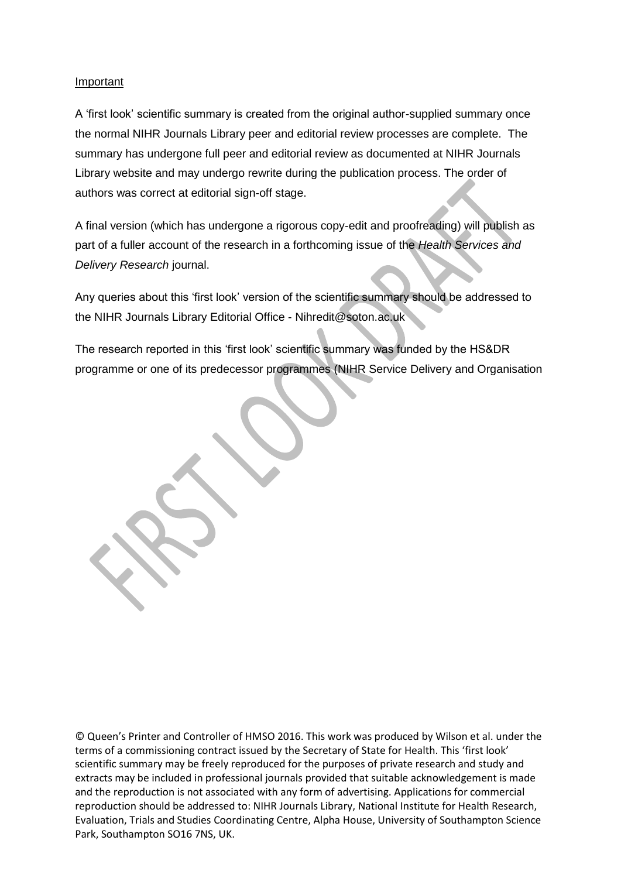#### **Important**

A 'first look' scientific summary is created from the original author-supplied summary once the normal NIHR Journals Library peer and editorial review processes are complete. The summary has undergone full peer and editorial review as documented at NIHR Journals Library website and may undergo rewrite during the publication process. The order of authors was correct at editorial sign-off stage.

A final version (which has undergone a rigorous copy-edit and proofreading) will publish as part of a fuller account of the research in a forthcoming issue of the *Health Services and Delivery Research* journal.

Any queries about this 'first look' version of the scientific summary should be addressed to the NIHR Journals Library Editorial Office - Nihredit@soton.ac.uk

The research reported in this 'first look' scientific summary was funded by the HS&DR programme or one of its predecessor programmes (NIHR Service Delivery and Organisation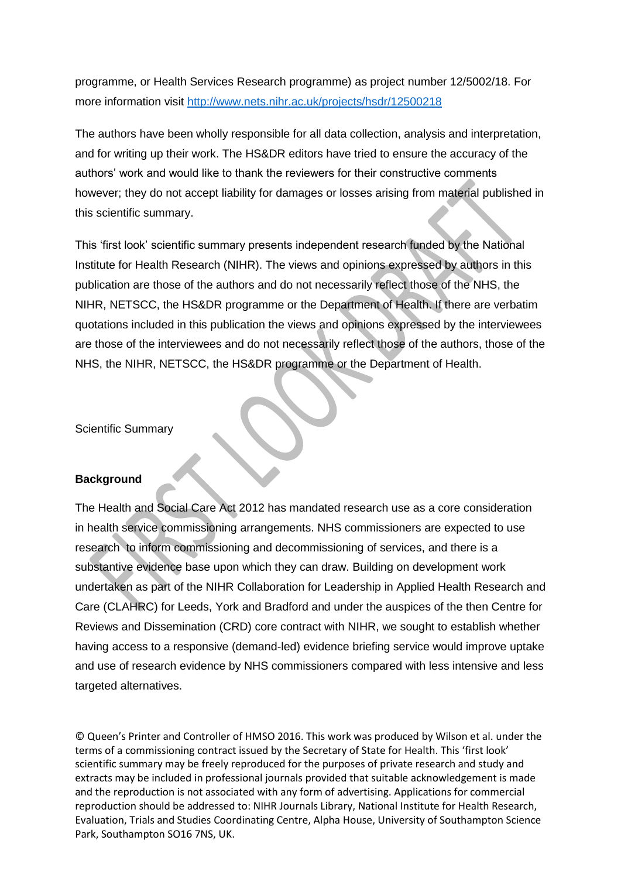programme, or Health Services Research programme) as project number 12/5002/18. For more information visit<http://www.nets.nihr.ac.uk/projects/hsdr/12500218>

The authors have been wholly responsible for all data collection, analysis and interpretation, and for writing up their work. The HS&DR editors have tried to ensure the accuracy of the authors' work and would like to thank the reviewers for their constructive comments however; they do not accept liability for damages or losses arising from material published in this scientific summary.

This 'first look' scientific summary presents independent research funded by the National Institute for Health Research (NIHR). The views and opinions expressed by authors in this publication are those of the authors and do not necessarily reflect those of the NHS, the NIHR, NETSCC, the HS&DR programme or the Department of Health. If there are verbatim quotations included in this publication the views and opinions expressed by the interviewees are those of the interviewees and do not necessarily reflect those of the authors, those of the NHS, the NIHR, NETSCC, the HS&DR programme or the Department of Health.

Scientific Summary

## **Background**

The Health and Social Care Act 2012 has mandated research use as a core consideration in health service commissioning arrangements. NHS commissioners are expected to use research to inform commissioning and decommissioning of services, and there is a substantive evidence base upon which they can draw. Building on development work undertaken as part of the NIHR Collaboration for Leadership in Applied Health Research and Care (CLAHRC) for Leeds, York and Bradford and under the auspices of the then Centre for Reviews and Dissemination (CRD) core contract with NIHR, we sought to establish whether having access to a responsive (demand-led) evidence briefing service would improve uptake and use of research evidence by NHS commissioners compared with less intensive and less targeted alternatives.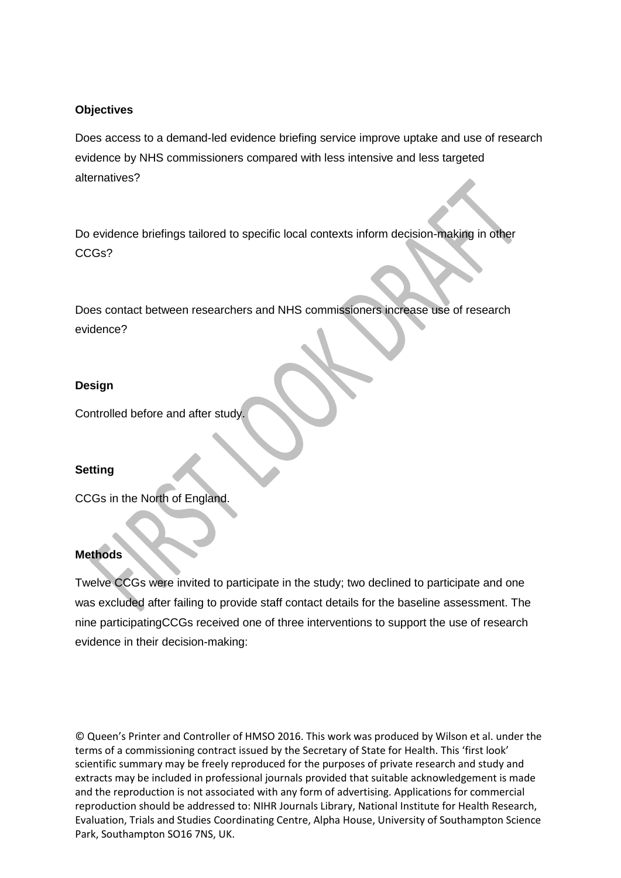## **Objectives**

Does access to a demand-led evidence briefing service improve uptake and use of research evidence by NHS commissioners compared with less intensive and less targeted alternatives?

Do evidence briefings tailored to specific local contexts inform decision-making in other CCGs?

Does contact between researchers and NHS commissioners increase use of research evidence?

## **Design**

Controlled before and after study.

## **Setting**

CCGs in the North of England.

## **Methods**

Twelve CCGs were invited to participate in the study; two declined to participate and one was excluded after failing to provide staff contact details for the baseline assessment. The nine participatingCCGs received one of three interventions to support the use of research evidence in their decision-making: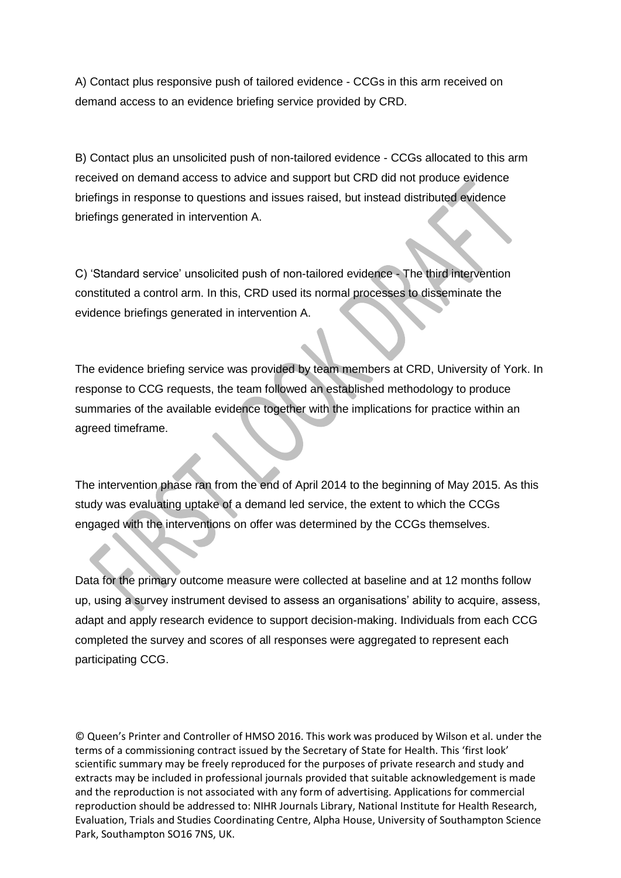A) Contact plus responsive push of tailored evidence - CCGs in this arm received on demand access to an evidence briefing service provided by CRD.

B) Contact plus an unsolicited push of non-tailored evidence - CCGs allocated to this arm received on demand access to advice and support but CRD did not produce evidence briefings in response to questions and issues raised, but instead distributed evidence briefings generated in intervention A.

C) 'Standard service' unsolicited push of non-tailored evidence - The third intervention constituted a control arm. In this, CRD used its normal processes to disseminate the evidence briefings generated in intervention A.

The evidence briefing service was provided by team members at CRD, University of York. In response to CCG requests, the team followed an established methodology to produce summaries of the available evidence together with the implications for practice within an agreed timeframe.

The intervention phase ran from the end of April 2014 to the beginning of May 2015. As this study was evaluating uptake of a demand led service, the extent to which the CCGs engaged with the interventions on offer was determined by the CCGs themselves.

Data for the primary outcome measure were collected at baseline and at 12 months follow up, using a survey instrument devised to assess an organisations' ability to acquire, assess, adapt and apply research evidence to support decision-making. Individuals from each CCG completed the survey and scores of all responses were aggregated to represent each participating CCG.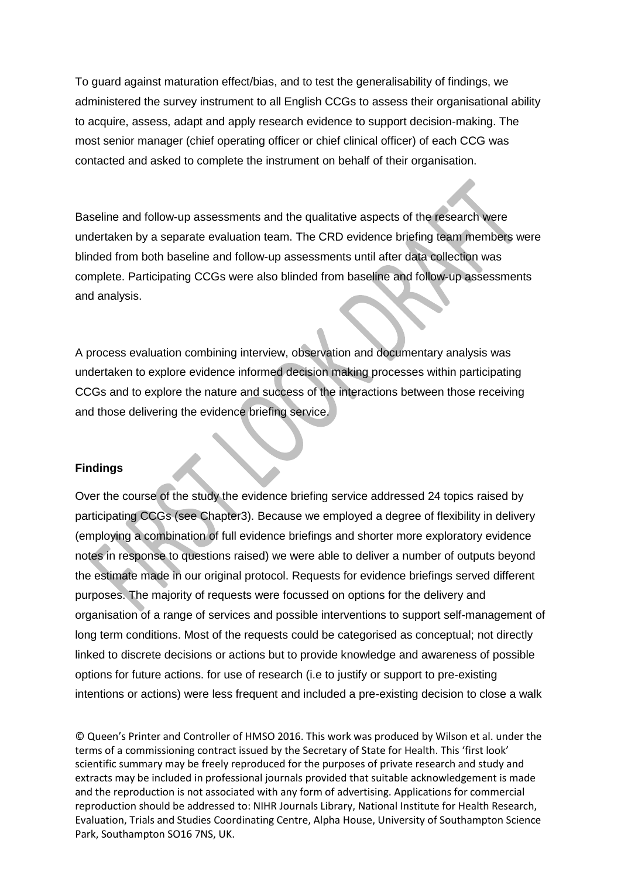To guard against maturation effect/bias, and to test the generalisability of findings, we administered the survey instrument to all English CCGs to assess their organisational ability to acquire, assess, adapt and apply research evidence to support decision-making. The most senior manager (chief operating officer or chief clinical officer) of each CCG was contacted and asked to complete the instrument on behalf of their organisation.

Baseline and follow-up assessments and the qualitative aspects of the research were undertaken by a separate evaluation team. The CRD evidence briefing team members were blinded from both baseline and follow-up assessments until after data collection was complete. Participating CCGs were also blinded from baseline and follow-up assessments and analysis.

A process evaluation combining interview, observation and documentary analysis was undertaken to explore evidence informed decision making processes within participating CCGs and to explore the nature and success of the interactions between those receiving and those delivering the evidence briefing service.

## **Findings**

Over the course of the study the evidence briefing service addressed 24 topics raised by participating CCGs (see Chapter3). Because we employed a degree of flexibility in delivery (employing a combination of full evidence briefings and shorter more exploratory evidence notes in response to questions raised) we were able to deliver a number of outputs beyond the estimate made in our original protocol. Requests for evidence briefings served different purposes. The majority of requests were focussed on options for the delivery and organisation of a range of services and possible interventions to support self-management of long term conditions. Most of the requests could be categorised as conceptual; not directly linked to discrete decisions or actions but to provide knowledge and awareness of possible options for future actions. for use of research (i.e to justify or support to pre-existing intentions or actions) were less frequent and included a pre-existing decision to close a walk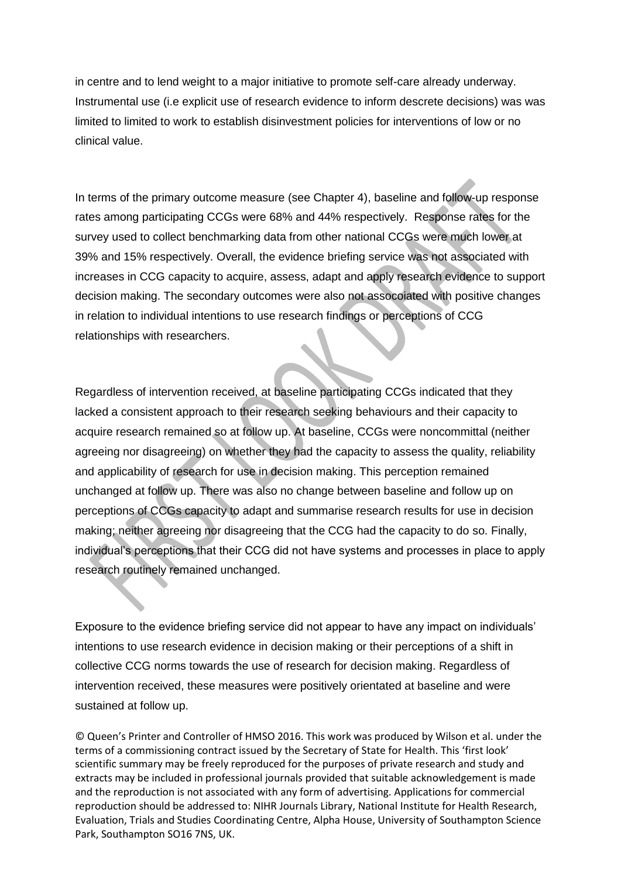in centre and to lend weight to a major initiative to promote self-care already underway. Instrumental use (i.e explicit use of research evidence to inform descrete decisions) was was limited to limited to work to establish disinvestment policies for interventions of low or no clinical value.

In terms of the primary outcome measure (see Chapter 4), baseline and follow-up response rates among participating CCGs were 68% and 44% respectively. Response rates for the survey used to collect benchmarking data from other national CCGs were much lower at 39% and 15% respectively. Overall, the evidence briefing service was not associated with increases in CCG capacity to acquire, assess, adapt and apply research evidence to support decision making. The secondary outcomes were also not assocoiated with positive changes in relation to individual intentions to use research findings or perceptions of CCG relationships with researchers.

Regardless of intervention received, at baseline participating CCGs indicated that they lacked a consistent approach to their research seeking behaviours and their capacity to acquire research remained so at follow up. At baseline, CCGs were noncommittal (neither agreeing nor disagreeing) on whether they had the capacity to assess the quality, reliability and applicability of research for use in decision making. This perception remained unchanged at follow up. There was also no change between baseline and follow up on perceptions of CCGs capacity to adapt and summarise research results for use in decision making; neither agreeing nor disagreeing that the CCG had the capacity to do so. Finally, individual's perceptions that their CCG did not have systems and processes in place to apply research routinely remained unchanged.

Exposure to the evidence briefing service did not appear to have any impact on individuals' intentions to use research evidence in decision making or their perceptions of a shift in collective CCG norms towards the use of research for decision making. Regardless of intervention received, these measures were positively orientated at baseline and were sustained at follow up.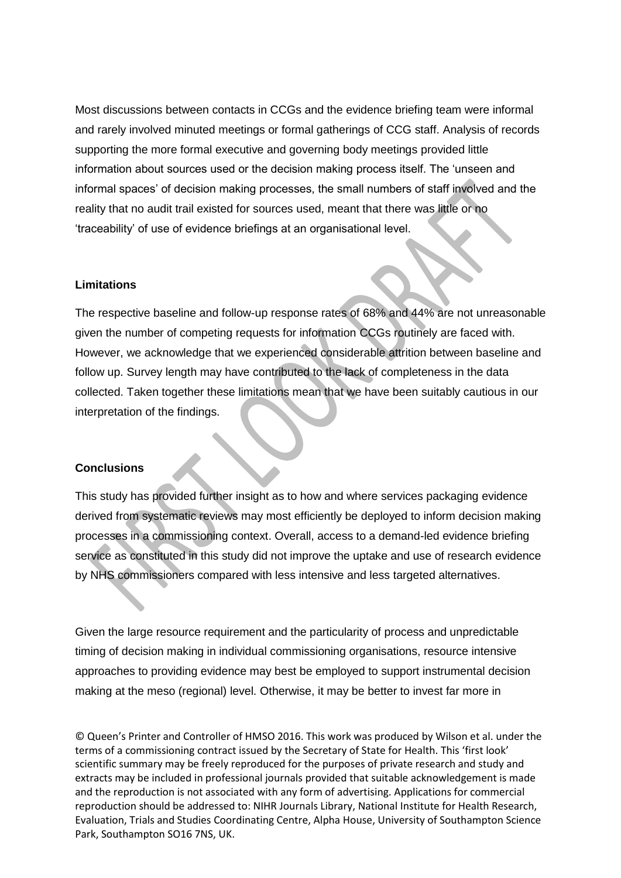Most discussions between contacts in CCGs and the evidence briefing team were informal and rarely involved minuted meetings or formal gatherings of CCG staff. Analysis of records supporting the more formal executive and governing body meetings provided little information about sources used or the decision making process itself. The 'unseen and informal spaces' of decision making processes, the small numbers of staff involved and the reality that no audit trail existed for sources used, meant that there was little or no 'traceability' of use of evidence briefings at an organisational level.

#### **Limitations**

The respective baseline and follow-up response rates of 68% and 44% are not unreasonable given the number of competing requests for information CCGs routinely are faced with. However, we acknowledge that we experienced considerable attrition between baseline and follow up. Survey length may have contributed to the lack of completeness in the data collected. Taken together these limitations mean that we have been suitably cautious in our interpretation of the findings.

#### **Conclusions**

This study has provided further insight as to how and where services packaging evidence derived from systematic reviews may most efficiently be deployed to inform decision making processes in a commissioning context. Overall, access to a demand-led evidence briefing service as constituted in this study did not improve the uptake and use of research evidence by NHS commissioners compared with less intensive and less targeted alternatives.

Given the large resource requirement and the particularity of process and unpredictable timing of decision making in individual commissioning organisations, resource intensive approaches to providing evidence may best be employed to support instrumental decision making at the meso (regional) level. Otherwise, it may be better to invest far more in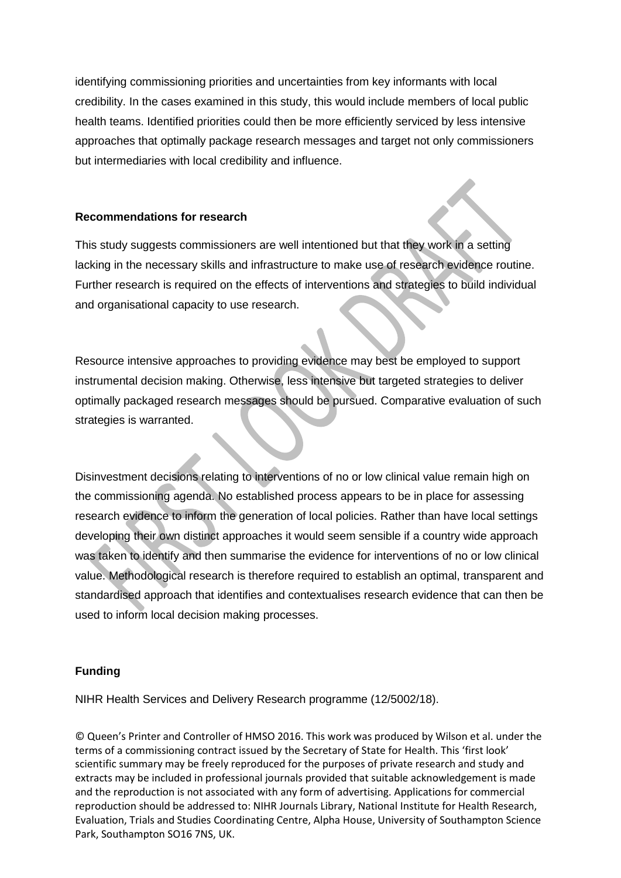identifying commissioning priorities and uncertainties from key informants with local credibility. In the cases examined in this study, this would include members of local public health teams. Identified priorities could then be more efficiently serviced by less intensive approaches that optimally package research messages and target not only commissioners but intermediaries with local credibility and influence.

## **Recommendations for research**

This study suggests commissioners are well intentioned but that they work in a setting lacking in the necessary skills and infrastructure to make use of research evidence routine. Further research is required on the effects of interventions and strategies to build individual and organisational capacity to use research.

Resource intensive approaches to providing evidence may best be employed to support instrumental decision making. Otherwise, less intensive but targeted strategies to deliver optimally packaged research messages should be pursued. Comparative evaluation of such strategies is warranted.

Disinvestment decisions relating to interventions of no or low clinical value remain high on the commissioning agenda. No established process appears to be in place for assessing research evidence to inform the generation of local policies. Rather than have local settings developing their own distinct approaches it would seem sensible if a country wide approach was taken to identify and then summarise the evidence for interventions of no or low clinical value. Methodological research is therefore required to establish an optimal, transparent and standardised approach that identifies and contextualises research evidence that can then be used to inform local decision making processes.

## **Funding**

NIHR Health Services and Delivery Research programme (12/5002/18).